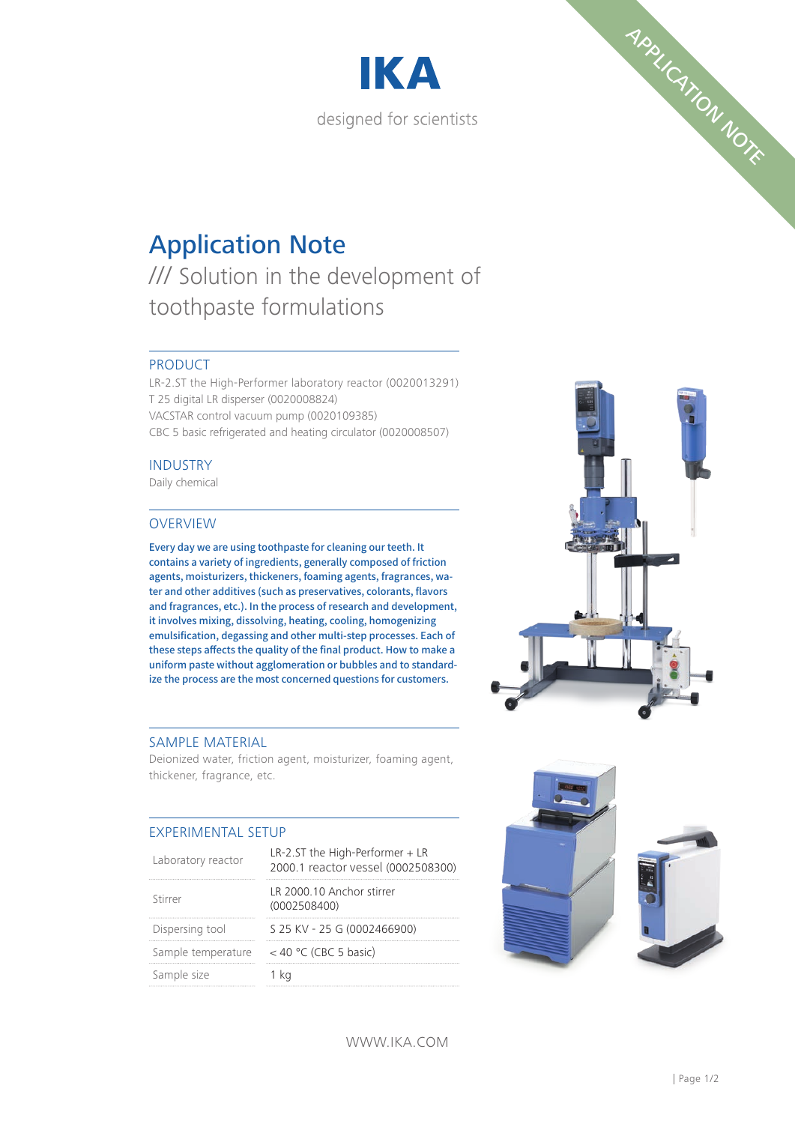



# Application Note

/// Solution in the development of toothpaste formulations

# PRODUCT

LR-2.ST the High-Performer laboratory reactor (0020013291) T 25 digital LR disperser (0020008824) VACSTAR control vacuum pump (0020109385) CBC 5 basic refrigerated and heating circulator (0020008507)

### INDUSTRY

Daily chemical

### OVERVIEW

Every day we are using toothpaste for cleaning our teeth. It contains a variety of ingredients, generally composed of friction agents, moisturizers, thickeners, foaming agents, fragrances, water and other additives (such as preservatives, colorants, flavors and fragrances, etc.). In the process of research and development, it involves mixing, dissolving, heating, cooling, homogenizing emulsification, degassing and other multi-step processes. Each of these steps affects the quality of the final product. How to make a uniform paste without agglomeration or bubbles and to standardize the process are the most concerned questions for customers.

#### SAMPLE MATERIAL

Deionized water, friction agent, moisturizer, foaming agent, thickener, fragrance, etc.

# EXPERIMENTAL SETUP

| Laboratory reactor | $LR-2.5T$ the High-Performer $+LR$<br>2000.1 reactor vessel (0002508300) |
|--------------------|--------------------------------------------------------------------------|
| Stirrer            | LR 2000.10 Anchor stirrer<br>(0002508400)                                |
| Dispersing tool    | S 25 KV - 25 G (0002466900)                                              |
| Sample temperature | $<$ 40 °C (CBC 5 basic)                                                  |
| Sample size        |                                                                          |



WWW.IKA.COM